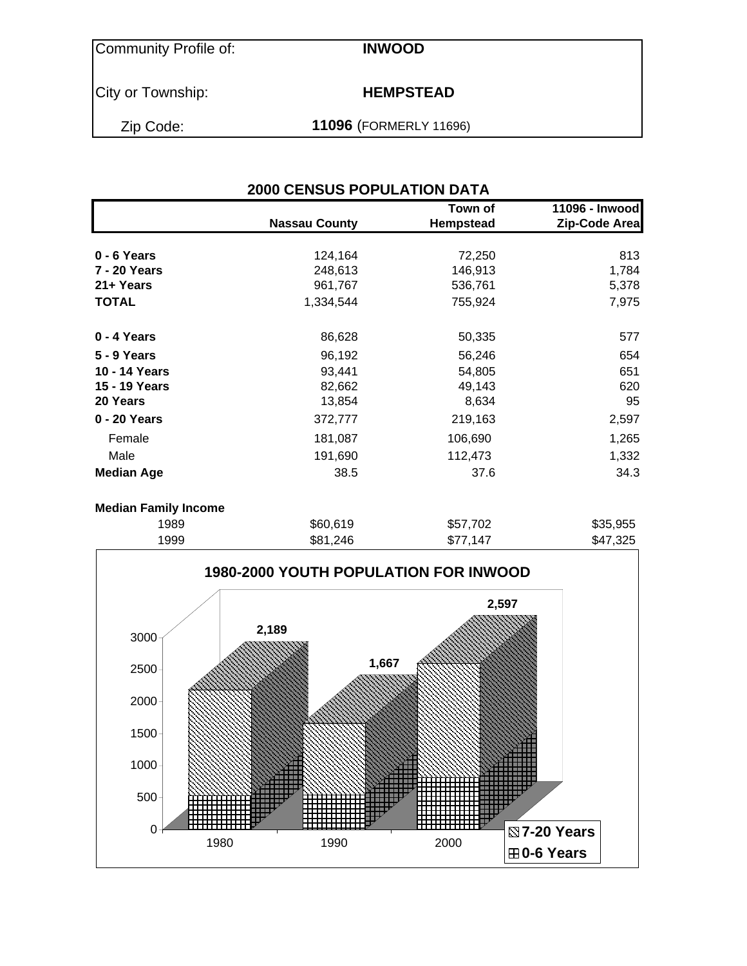Community Profile of: **INWOOD**

City or Township: **HEMPSTEAD** 

Zip Code: **11096** (FORMERLY 11696)

| <b>2000 CENSUS POPULATION DATA</b> |                      |                      |                                 |  |  |  |  |
|------------------------------------|----------------------|----------------------|---------------------------------|--|--|--|--|
|                                    | <b>Nassau County</b> | Town of<br>Hempstead | 11096 - Inwood<br>Zip-Code Area |  |  |  |  |
| 0 - 6 Years                        | 124,164              | 72,250               | 813                             |  |  |  |  |
| 7 - 20 Years                       | 248,613              | 146,913              | 1,784                           |  |  |  |  |
| 21+ Years                          | 961,767              | 536,761              | 5,378                           |  |  |  |  |
| <b>TOTAL</b>                       | 1,334,544            | 755,924              | 7,975                           |  |  |  |  |
| 0 - 4 Years                        | 86,628               | 50,335               | 577                             |  |  |  |  |
| 5 - 9 Years                        | 96,192               | 56,246               | 654                             |  |  |  |  |
| 10 - 14 Years                      | 93,441               | 54,805               | 651                             |  |  |  |  |
| 15 - 19 Years                      | 82,662               | 49,143               | 620                             |  |  |  |  |
| 20 Years                           | 13,854               | 8,634                | 95                              |  |  |  |  |
| 0 - 20 Years                       | 372,777              | 219,163              | 2,597                           |  |  |  |  |
| Female                             | 181,087              | 106,690              | 1,265                           |  |  |  |  |
| Male                               | 191,690              | 112,473              | 1,332                           |  |  |  |  |
| <b>Median Age</b>                  | 38.5                 | 37.6                 | 34.3                            |  |  |  |  |
| <b>Median Family Income</b>        |                      |                      |                                 |  |  |  |  |
| 1989                               | \$60,619             | \$57,702             | \$35,955                        |  |  |  |  |

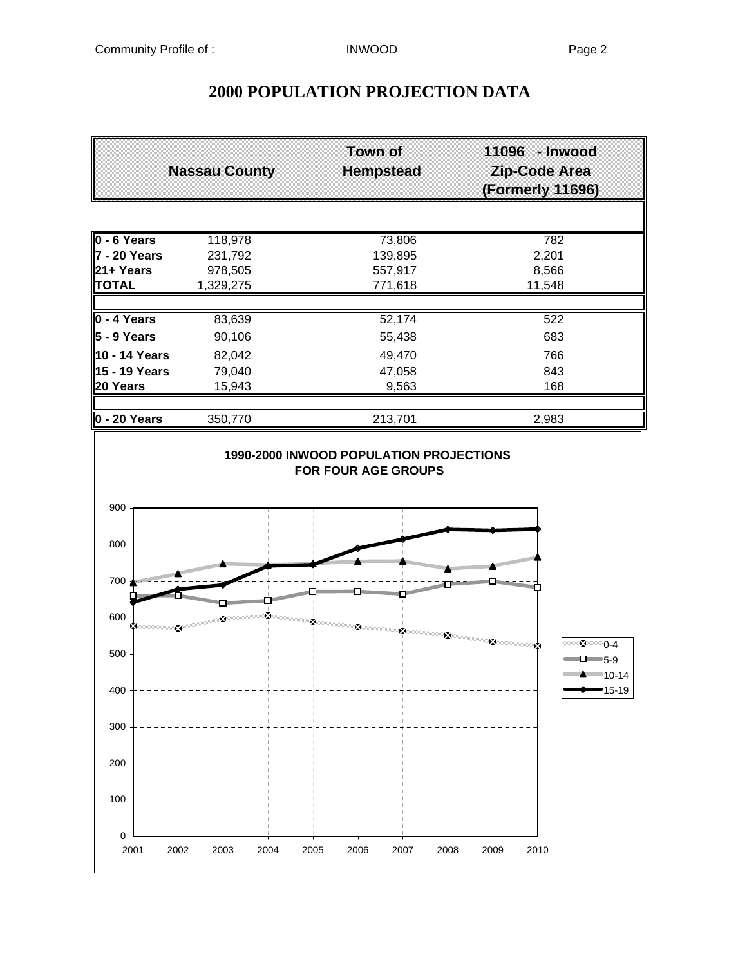# **Town of 11096 - Inwood Nassau County Hempstead Zip-Code Area (Formerly 11696) 0 - 6 Years** 118,978 73,806 782 **7 - 20 Years** 231,792 139,895 2,201<br>**21 + Years** 278,505 257,917 258 2,566 **21+ Years** 978,505 557,917 8,566 **TOTAL** 1,329,275 771,618 11,548 **0 - 4 Years** 83,639 52,174 522 **5 - 9 Years** 90,106 55,438 683 **10 - 14 Years** 82,042 49,470 49,470 **15 - 19 Years** 79,040 **17,058 843 20 Years** 15,943 9,563 9,563 168 **0 - 20 Years** 350,770 213,701 2,983 **1990-2000 INWOOD POPULATION PROJECTIONS FOR FOUR AGE GROUPS** 900 800 700 600 × **M** 0-4 500  $\Box$ 5-9 10-14 400 15-19300 200 100  $\Omega$ 2001 2002 2003 2004 2005 2006 2007 2008 2009 2010

## **2000 POPULATION PROJECTION DATA**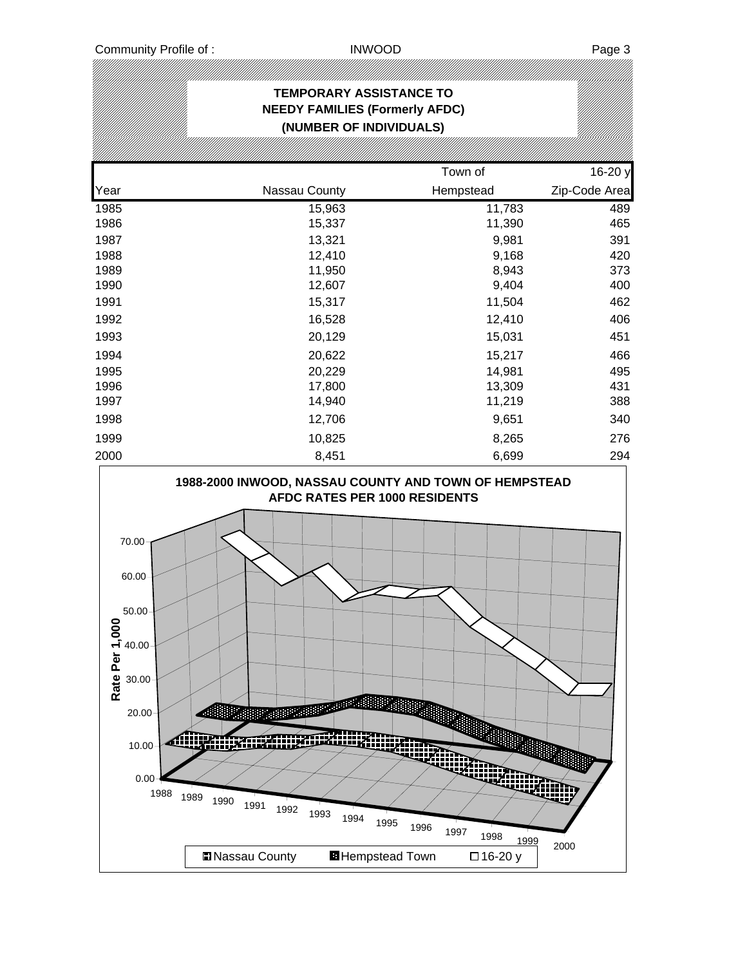### **TEMPORARY ASSISTANCE TO NEEDY FAMILIES (Formerly AFDC) (NUMBER OF INDIVIDUALS)** Town of 16-20 y Year **Nassau County** Hempstead **Zip-Code Area** 1985 15,963 11,783 489 1986 15,337 11,390 465 1987 13,321 9,981 391 1988 12,410 9,168 420 1989 11,950 8,943 373 1990 12,607 9,404 400 1991 15,317 11,504 462 1992 16,528 12,410 406 1993 20,129 15,031 451 1994 20,622 15,217 466 1995 20,229 14,981 495 1996 17,800 13,309 431 1997 14,940 11,219 388 1998 12,706 9,651 340 1999 10,825 8,265 276 2000 8,451 6,699 294

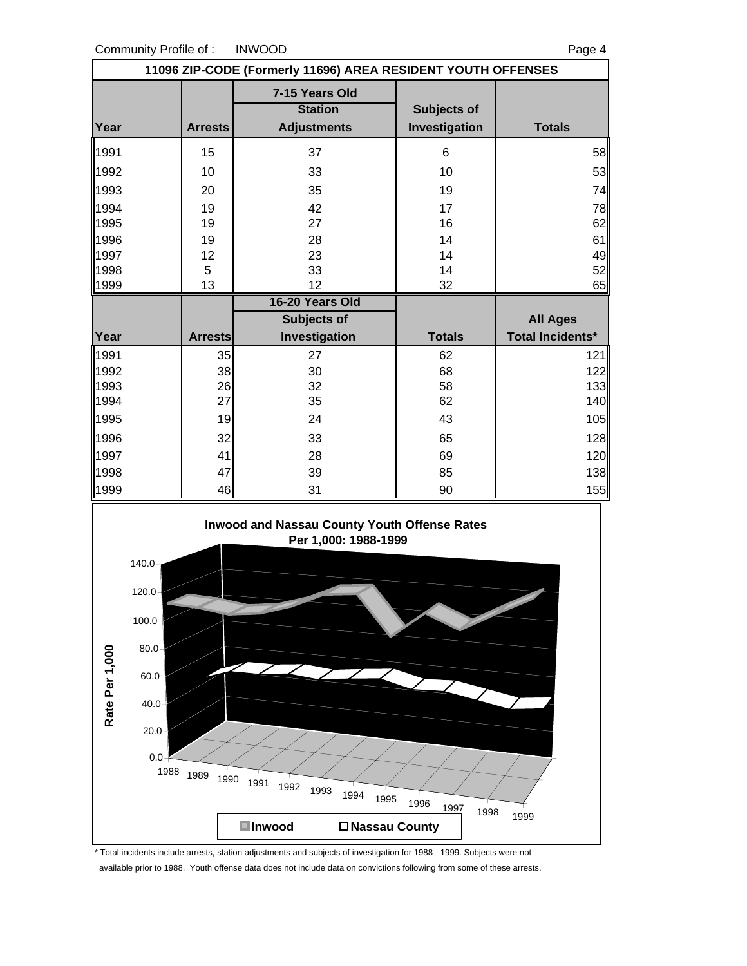Community Profile of : INWOOD Page 4

| 11096 ZIP-CODE (Formerly 11696) AREA RESIDENT YOUTH OFFENSES                             |                |                                                        |                              |                         |  |  |  |
|------------------------------------------------------------------------------------------|----------------|--------------------------------------------------------|------------------------------|-------------------------|--|--|--|
| Year                                                                                     | <b>Arrests</b> | 7-15 Years Old<br><b>Station</b><br><b>Adjustments</b> | Subjects of<br>Investigation | <b>Totals</b>           |  |  |  |
| 1991                                                                                     | 15             | 37                                                     | 6                            | 58                      |  |  |  |
| 1992                                                                                     | 10             | 33                                                     | 10                           | 53                      |  |  |  |
| 1993                                                                                     | 20             | 35                                                     | 19                           | 74                      |  |  |  |
| 1994                                                                                     | 19             | 42                                                     | 17                           | 78                      |  |  |  |
| 1995                                                                                     | 19             | 27                                                     | 16                           | 62                      |  |  |  |
| 1996                                                                                     | 19             | 28                                                     | 14                           | 61                      |  |  |  |
| 1997                                                                                     | 12             | 23                                                     | 14                           | 49                      |  |  |  |
| 1998                                                                                     | 5              | 33                                                     | 14                           | 52                      |  |  |  |
| 1999                                                                                     | 13             | 12                                                     | 32                           | 65                      |  |  |  |
|                                                                                          |                | 16-20 Years Old                                        |                              |                         |  |  |  |
|                                                                                          |                | Subjects of                                            |                              | <b>All Ages</b>         |  |  |  |
| Year                                                                                     | <b>Arrests</b> | Investigation                                          | <b>Totals</b>                | <b>Total Incidents*</b> |  |  |  |
| 1991                                                                                     | 35             | 27                                                     | 62                           | 121                     |  |  |  |
| 1992                                                                                     | 38             | 30                                                     | 68                           | 122                     |  |  |  |
| 1993<br>1994                                                                             | 26<br>27       | 32<br>35                                               | 58<br>62                     | 133<br>140              |  |  |  |
|                                                                                          |                |                                                        |                              |                         |  |  |  |
| 1995                                                                                     | 19             | 24                                                     | 43                           | 105                     |  |  |  |
| 1996                                                                                     | 32             | 33                                                     | 65                           | 128                     |  |  |  |
| 1997                                                                                     | 41             | 28                                                     | 69                           | 120                     |  |  |  |
| 1998                                                                                     | 47             | 39                                                     | 85                           | 138                     |  |  |  |
| 1999                                                                                     | 46             | 31                                                     | 90                           | 155                     |  |  |  |
| <b>Inwood and Nassau County Youth Offense Rates</b><br>Per 1,000: 1988-1999<br>$140.0 -$ |                |                                                        |                              |                         |  |  |  |



\* Total incidents include arrests, station adjustments and subjects of investigation for 1988 - 1999. Subjects were not available prior to 1988. Youth offense data does not include data on convictions following from some of these arrests.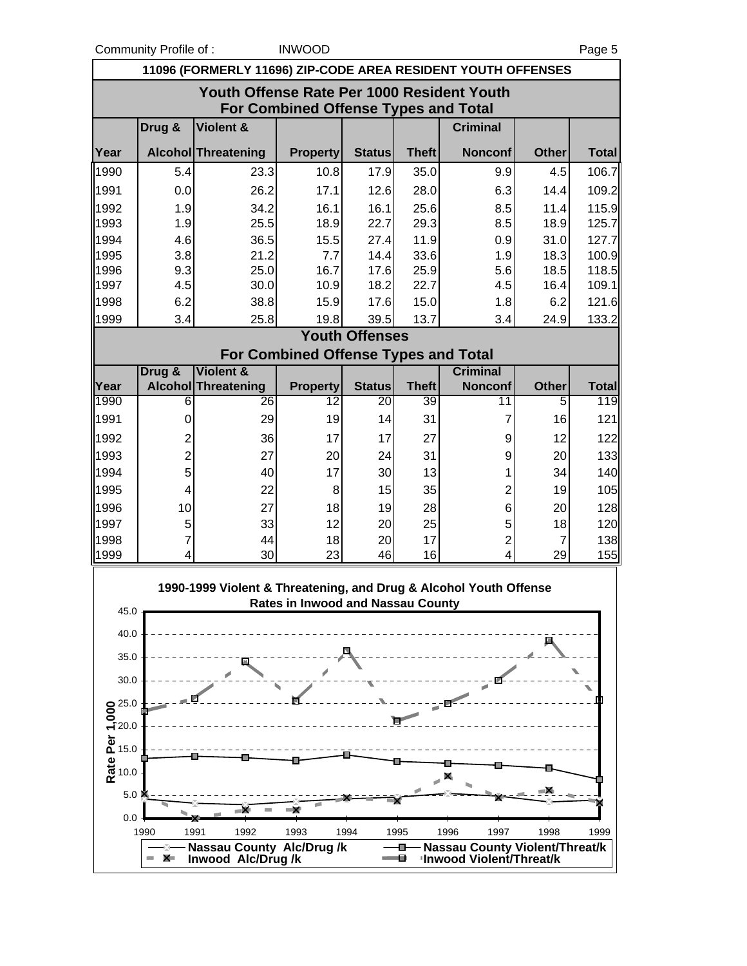Community Profile of : INWOOD Page 5

| 11096 (FORMERLY 11696) ZIP-CODE AREA RESIDENT YOUTH OFFENSES                       |                      |                                                                   |                                          |                       |              |                                                                   |                |                |  |  |
|------------------------------------------------------------------------------------|----------------------|-------------------------------------------------------------------|------------------------------------------|-----------------------|--------------|-------------------------------------------------------------------|----------------|----------------|--|--|
| Youth Offense Rate Per 1000 Resident Youth<br>For Combined Offense Types and Total |                      |                                                                   |                                          |                       |              |                                                                   |                |                |  |  |
|                                                                                    | Drug &               | <b>Violent &amp;</b>                                              |                                          |                       |              | <b>Criminal</b>                                                   |                |                |  |  |
| Year                                                                               |                      | Alcohol Threatening                                               | <b>Property</b>                          | <b>Status</b>         | <b>Theft</b> | <b>Nonconf</b>                                                    | <b>Other</b>   | <b>Total</b>   |  |  |
| 1990                                                                               | 5.4                  | 23.3                                                              | 10.8                                     | 17.9                  | 35.0         | 9.9                                                               | 4.5            | 106.7          |  |  |
| 1991                                                                               | 0.0                  | 26.2                                                              | 17.1                                     | 12.6                  | 28.0         | 6.3                                                               | 14.4           | 109.2          |  |  |
| 1992                                                                               | 1.9                  | 34.2                                                              | 16.1                                     | 16.1                  | 25.6         | 8.5                                                               | 11.4           | 115.9          |  |  |
| 1993                                                                               | 1.9                  | 25.5                                                              | 18.9                                     | 22.7                  | 29.3         | 8.5                                                               | 18.9           | 125.7          |  |  |
| 1994                                                                               | 4.6                  | 36.5                                                              | 15.5                                     | 27.4                  | 11.9         | 0.9                                                               | 31.0           | 127.7          |  |  |
| 1995                                                                               | 3.8                  | 21.2                                                              | 7.7<br>16.7                              | 14.4                  | 33.6         | 1.9                                                               | 18.3           | 100.9          |  |  |
| 1996<br>1997                                                                       | 9.3<br>4.5           | 25.0<br>30.0                                                      | 10.9                                     | 17.6<br>18.2          | 25.9<br>22.7 | 5.6<br>4.5                                                        | 18.5<br>16.4   | 118.5<br>109.1 |  |  |
| 1998                                                                               | 6.2                  | 38.8                                                              | 15.9                                     | 17.6                  | 15.0         | 1.8                                                               | 6.2            | 121.6          |  |  |
| 1999                                                                               | 3.4                  | 25.8                                                              | 19.8                                     | 39.5                  | 13.7         | 3.4                                                               | 24.9           | 133.2          |  |  |
|                                                                                    |                      |                                                                   |                                          | <b>Youth Offenses</b> |              |                                                                   |                |                |  |  |
|                                                                                    |                      |                                                                   | For Combined Offense Types and Total     |                       |              |                                                                   |                |                |  |  |
|                                                                                    | Drug &               | <b>Violent &amp;</b>                                              |                                          |                       |              | <b>Criminal</b>                                                   |                |                |  |  |
| Year                                                                               |                      | <b>Alcohol Threatening</b>                                        | <b>Property</b>                          | <b>Status</b>         | <b>Theft</b> | <b>Nonconf</b>                                                    | <b>Other</b>   | <b>Total</b>   |  |  |
| 1990                                                                               | 6                    | 26                                                                | 12                                       | 20                    | 39           | 11                                                                | 5              | 119            |  |  |
| 1991                                                                               | 0                    | 29                                                                | 19                                       | 14                    | 31           | 7                                                                 | 16             | 121            |  |  |
| 1992                                                                               | 2                    | 36                                                                | 17                                       | 17                    | 27           | 9                                                                 | 12             | 122            |  |  |
| 1993                                                                               | $\overline{2}$       | 27                                                                | 20                                       | 24                    | 31           | 9                                                                 | 20             | 133            |  |  |
| 1994                                                                               | 5                    | 40                                                                | 17                                       | 30                    | 13           | 1                                                                 | 34             | 140            |  |  |
| 1995                                                                               | 4                    | 22                                                                | 8                                        | 15                    | 35           | 2                                                                 | 19             | 105            |  |  |
| 1996                                                                               | 10                   | 27                                                                | 18                                       | 19                    | 28           | 6                                                                 | 20             | 128            |  |  |
| 1997                                                                               | 5                    | 33                                                                | 12                                       | 20                    | 25           | 5                                                                 | 18             | 120            |  |  |
| 1998                                                                               | 7                    | 44                                                                | 18                                       | 20                    | 17           | $\overline{c}$                                                    | $\overline{7}$ | 138            |  |  |
| 1999                                                                               | 4                    | 30                                                                | 23                                       | 46                    | 16           | 4                                                                 | 29             | 155            |  |  |
| 45.0                                                                               |                      | 1990-1999 Violent & Threatening, and Drug & Alcohol Youth Offense | <b>Rates in Inwood and Nassau County</b> |                       |              |                                                                   |                |                |  |  |
| 40.0                                                                               |                      |                                                                   |                                          |                       |              |                                                                   |                |                |  |  |
| 35.0                                                                               |                      |                                                                   |                                          |                       |              |                                                                   |                |                |  |  |
| 30.0                                                                               |                      |                                                                   |                                          |                       |              |                                                                   |                |                |  |  |
|                                                                                    |                      |                                                                   |                                          |                       |              |                                                                   |                |                |  |  |
| $\sum_{\text{-}20.0}^{25.0}$                                                       |                      |                                                                   |                                          |                       |              |                                                                   |                |                |  |  |
|                                                                                    |                      |                                                                   |                                          |                       |              |                                                                   |                |                |  |  |
|                                                                                    |                      |                                                                   |                                          |                       |              |                                                                   |                |                |  |  |
| <b>Per</b><br><b>Rate</b> 15.0<br><b>Rat</b> 10.0                                  |                      |                                                                   |                                          |                       |              |                                                                   |                |                |  |  |
| $5.0\downarrow$                                                                    |                      |                                                                   |                                          |                       |              |                                                                   |                |                |  |  |
| 0.0                                                                                |                      |                                                                   |                                          |                       |              |                                                                   |                |                |  |  |
|                                                                                    | 1990                 | 1992<br>1991                                                      | 1993                                     | 1994                  | 1995         | 1997<br>1996                                                      | 1998           | 1999           |  |  |
|                                                                                    | X.<br><b>College</b> | <b>Nassau County Alc/Drug/k</b><br>Inwood Alc/Drug/k              |                                          |                       | e            | <b>Nassau County Violent/Threat/k</b><br>'Inwood Violent/Threat/k |                |                |  |  |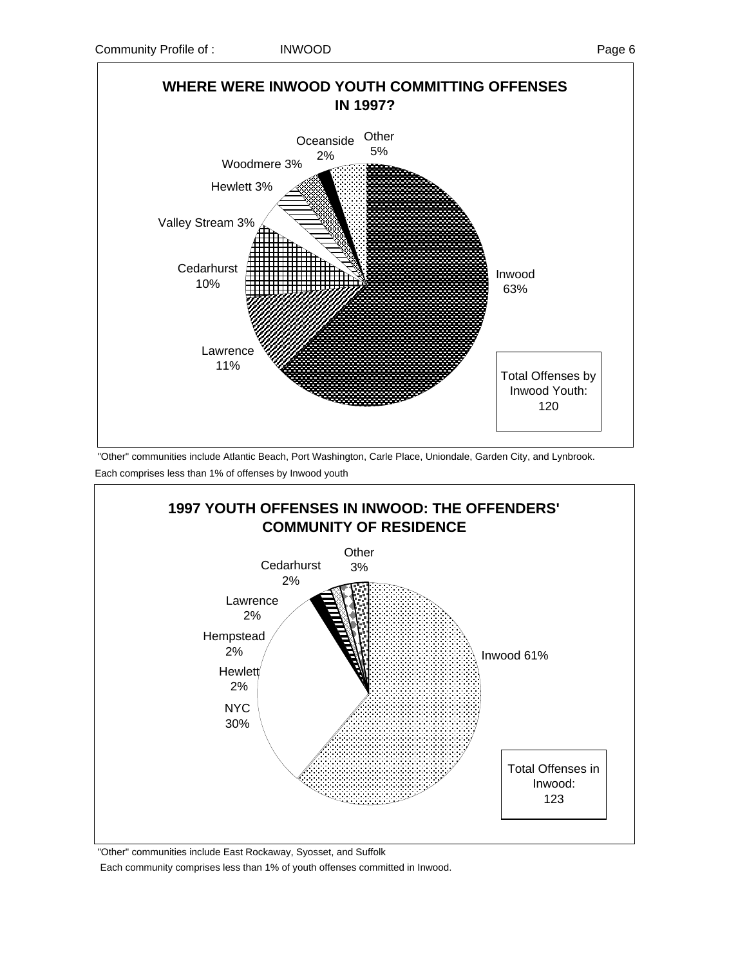

 "Other" communities include Atlantic Beach, Port Washington, Carle Place, Uniondale, Garden City, and Lynbrook. Each comprises less than 1% of offenses by Inwood youth



"Other" communities include East Rockaway, Syosset, and Suffolk

Each community comprises less than 1% of youth offenses committed in Inwood.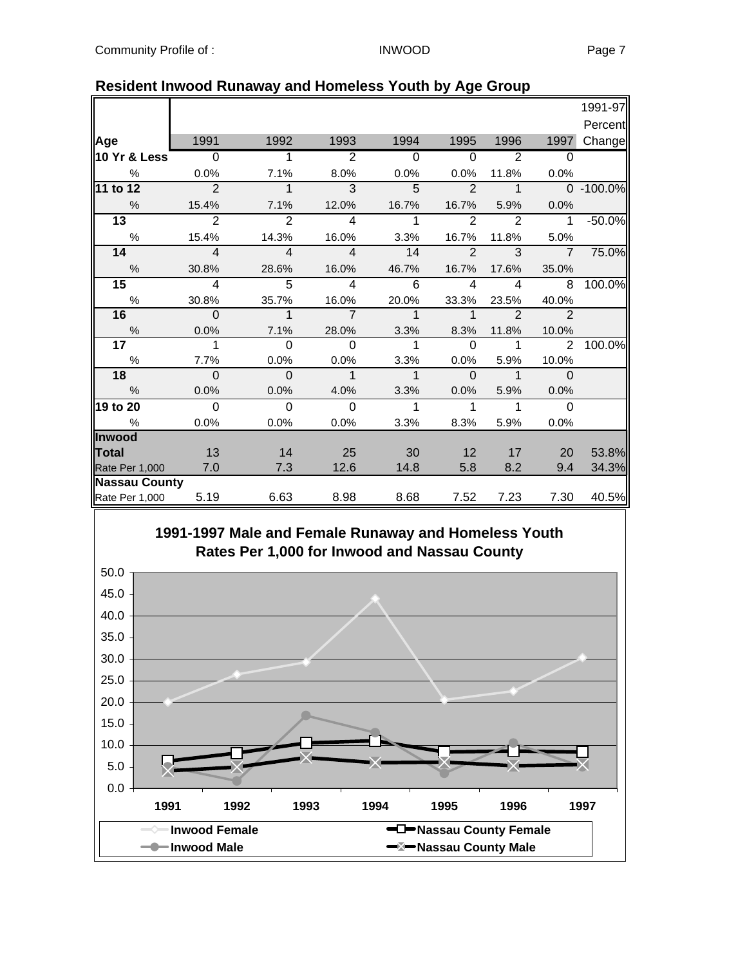|                      |                          |                            |                         |                            |                          |                |                | 1991-97   |
|----------------------|--------------------------|----------------------------|-------------------------|----------------------------|--------------------------|----------------|----------------|-----------|
|                      |                          |                            |                         |                            |                          |                |                | Percent   |
| Age                  | 1991                     | 1992                       | 1993                    | 1994                       | 1995                     | 1996           | 1997           | Change    |
| 10 Yr & Less         | $\overline{\phantom{0}}$ | $\overline{1}$             | $\overline{2}$          | $\overline{0}$             | $\overline{0}$           | $\overline{2}$ | $\Omega$       |           |
| %                    | 0.0%                     | 7.1%                       | 8.0%                    | 0.0%                       | 0.0%                     | 11.8%          | 0.0%           |           |
| 11 to 12             | $\overline{\phantom{a}}$ | $\mathbf{1}$               | $\overline{3}$          | 5                          | $\overline{\phantom{0}}$ | $\mathbf 1$    |                | 0 -100.0% |
| $\frac{9}{6}$        | 15.4%                    | 7.1%                       | 12.0%                   | 16.7%                      | 16.7%                    | 5.9%           | 0.0%           |           |
| $\overline{13}$      | $\mathcal{P}$            | 2                          | $\overline{\mathbf{A}}$ | $\mathbf{1}$               | $\mathcal{P}$            | $\mathcal{P}$  | $\mathbf{1}$   | $-50.0%$  |
| $\frac{0}{0}$        | 15.4%                    | 14.3%                      | 16.0%                   | 3.3%                       | 16.7%                    | 11.8%          | 5.0%           |           |
| 14                   | $\overline{4}$           | $\overline{4}$             | $\overline{4}$          | 14                         | $\overline{2}$           | 3              | $\overline{7}$ | 75.0%     |
| $\frac{0}{6}$        | 30.8%                    | 28.6%                      | 16.0%                   | 46.7%                      | 16.7%                    | 17.6%          | 35.0%          |           |
| 15                   | $\overline{4}$           | $\overline{5}$             | $\overline{4}$          | 6                          | $\overline{4}$           | $\overline{4}$ | 8              | 100.0%    |
| %                    | 30.8%                    | 35.7%                      | 16.0%                   | 20.0%                      | 33.3%                    | 23.5%          | 40.0%          |           |
| 16                   | $\overline{\phantom{0}}$ | $\overline{\phantom{0}}$ 1 | $\overline{7}$          | $\overline{\phantom{1}}$ 1 | $\overline{1}$           | $\overline{2}$ | $\overline{2}$ |           |
| $\%$                 | 0.0%                     | 7.1%                       | 28.0%                   | 3.3%                       | 8.3%                     | 11.8%          | 10.0%          |           |
| 17 <sub>1</sub>      | $\mathbf{1}$             | $\Omega$                   | $\Omega$                | $\overline{1}$             | $\mathbf 0$              | $\mathbf{1}$   | 2              | 100.0%    |
| %                    | 7.7%                     | 0.0%                       | 0.0%                    | 3.3%                       | 0.0%                     | 5.9%           | 10.0%          |           |
| 18                   | $\overline{0}$           | $\overline{0}$             | $\overline{1}$          | $\overline{1}$             | $\Omega$                 | $\mathbf{1}$   | $\Omega$       |           |
| $\%$                 | 0.0%                     | 0.0%                       | 4.0%                    | 3.3%                       | 0.0%                     | 5.9%           | 0.0%           |           |
| 19 to 20             | $\mathbf 0$              | $\mathbf 0$                | $\mathbf 0$             | $\mathbf{1}$               | $\mathbf{1}$             | $\mathbf{1}$   | $\overline{0}$ |           |
| %                    | 0.0%                     | 0.0%                       | 0.0%                    | 3.3%                       | 8.3%                     | 5.9%           | 0.0%           |           |
| Inwood               |                          |                            |                         |                            |                          |                |                |           |
| Total                | 13                       | 14                         | 25                      | 30                         | 12                       | 17             | 20             | 53.8%     |
| Rate Per 1,000       | 7.0                      | 7.3                        | 12.6                    | 14.8                       | 5.8                      | 8.2            | 9.4            | 34.3%     |
| <b>Nassau County</b> |                          |                            |                         |                            |                          |                |                |           |
| Rate Per 1,000       | 5.19                     | 6.63                       | 8.98                    | 8.68                       | 7.52                     | 7.23           | 7.30           | 40.5%     |

### **Resident Inwood Runaway and Homeless Youth by Age Group**

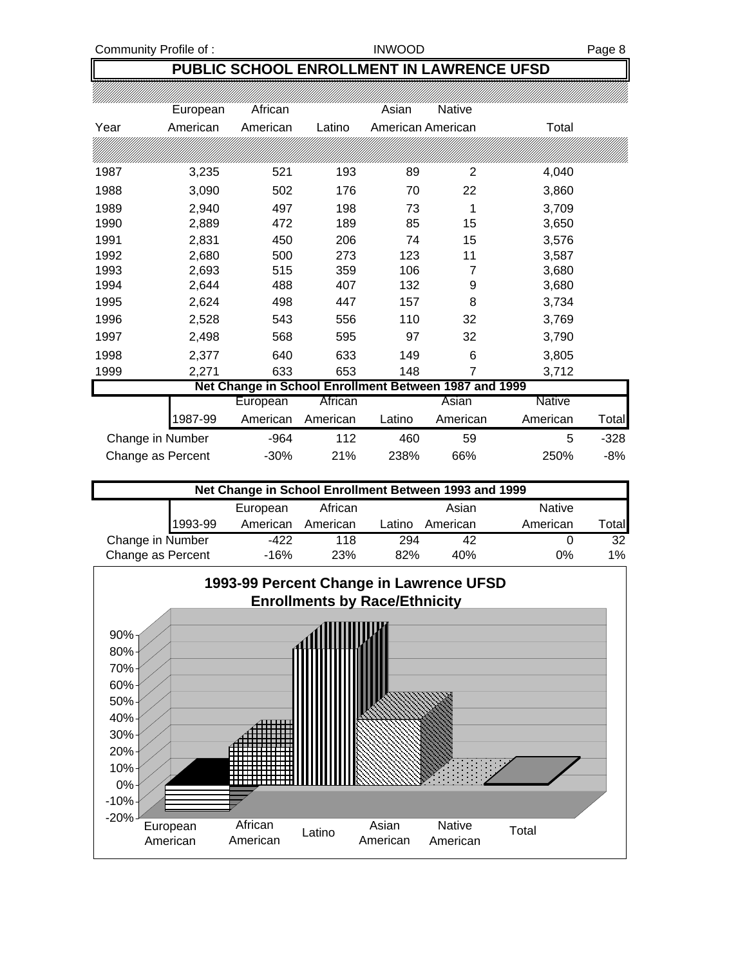## **PUBLIC SCHOOL ENROLLMENT IN LAWRENCE UFSD**

|                   | European | African                                               |          | Asian  | <b>Native</b>     |          |       |
|-------------------|----------|-------------------------------------------------------|----------|--------|-------------------|----------|-------|
| Year              | American | American                                              | Latino   |        | American American | Total    |       |
|                   |          |                                                       |          |        |                   |          |       |
| 1987              | 3,235    | 521                                                   | 193      | 89     | 2                 | 4,040    |       |
| 1988              | 3,090    | 502                                                   | 176      | 70     | 22                | 3,860    |       |
| 1989              | 2,940    | 497                                                   | 198      | 73     | 1                 | 3,709    |       |
| 1990              | 2,889    | 472                                                   | 189      | 85     | 15                | 3,650    |       |
| 1991              | 2,831    | 450                                                   | 206      | 74     | 15                | 3,576    |       |
| 1992              | 2,680    | 500                                                   | 273      | 123    | 11                | 3,587    |       |
| 1993              | 2,693    | 515                                                   | 359      | 106    | 7                 | 3,680    |       |
| 1994              | 2,644    | 488                                                   | 407      | 132    | 9                 | 3,680    |       |
| 1995              | 2,624    | 498                                                   | 447      | 157    | 8                 | 3,734    |       |
| 1996              | 2,528    | 543                                                   | 556      | 110    | 32                | 3,769    |       |
| 1997              | 2,498    | 568                                                   | 595      | 97     | 32                | 3,790    |       |
| 1998              | 2,377    | 640                                                   | 633      | 149    | 6                 | 3,805    |       |
| 1999              | 2,271    | 633                                                   | 653      | 148    | 7                 | 3,712    |       |
|                   |          | Net Change in School Enrollment Between 1987 and 1999 |          |        |                   |          |       |
|                   |          | European                                              | African  |        | Asian             | Native   |       |
|                   | 1987-99  | American                                              | American | Latino | American          | American | Total |
| Change in Number  |          | $-964$                                                | 112      | 460    | 59                | 5        | -328  |
| Change as Percent |          | $-30%$                                                | 21%      | 238%   | 66%               | 250%     | $-8%$ |

| Net Change in School Enrollment Between 1993 and 1999 |         |          |            |        |          |               |                  |  |  |  |
|-------------------------------------------------------|---------|----------|------------|--------|----------|---------------|------------------|--|--|--|
|                                                       |         | European | African    |        | Asian    | <b>Native</b> |                  |  |  |  |
|                                                       | 1993-99 | American | American   | Latino | American | American      | $\mathsf{Total}$ |  |  |  |
| Change in Number                                      |         | -422     | 118        | 294    | 42       |               | 32               |  |  |  |
| Change as Percent                                     |         | -16%     | <b>23%</b> | 82%    | 40%      | $0\%$         | $1\%$            |  |  |  |

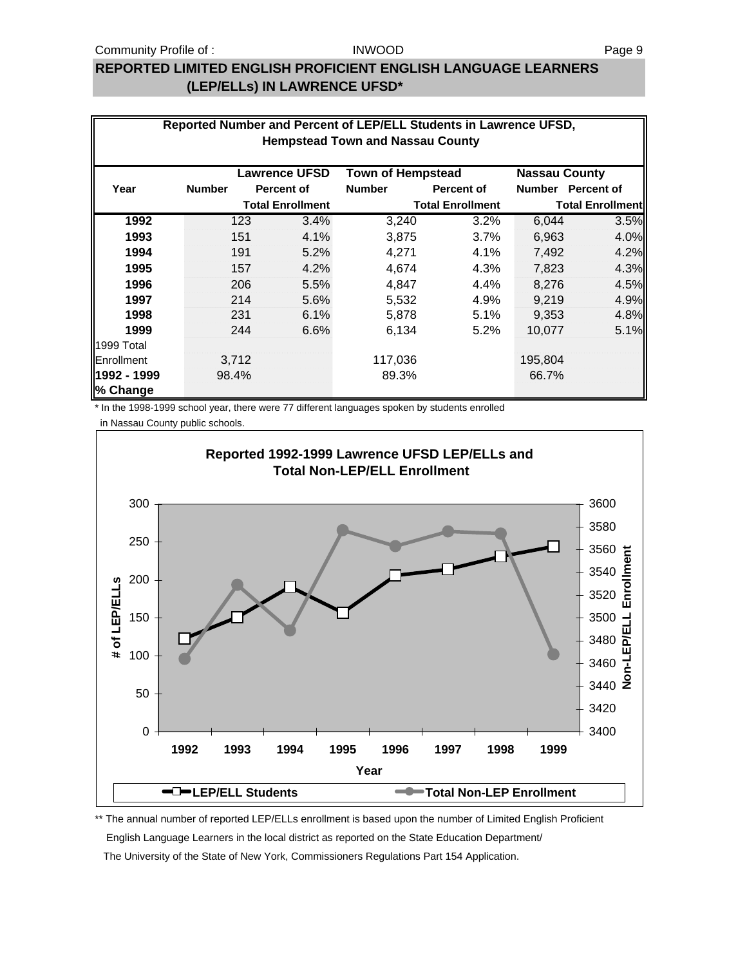### **REPORTED LIMITED ENGLISH PROFICIENT ENGLISH LANGUAGE LEARNERS (LEP/ELLs) IN LAWRENCE UFSD\***

| Reported Number and Percent of LEP/ELL Students in Lawrence UFSD,<br><b>Hempstead Town and Nassau County</b> |               |       |                         |               |                         |                         |                   |  |  |
|--------------------------------------------------------------------------------------------------------------|---------------|-------|-------------------------|---------------|-------------------------|-------------------------|-------------------|--|--|
| <b>Lawrence UFSD</b><br><b>Town of Hempstead</b><br><b>Nassau County</b>                                     |               |       |                         |               |                         |                         |                   |  |  |
| Year                                                                                                         | <b>Number</b> |       | Percent of              | <b>Number</b> | Percent of              | <b>Number</b>           | <b>Percent of</b> |  |  |
|                                                                                                              |               |       | <b>Total Enrollment</b> |               | <b>Total Enrollment</b> | <b>Total Enrollment</b> |                   |  |  |
| 1992                                                                                                         |               | 123   | 3.4%                    | 3,240         | 3.2%                    | 6,044                   | 3.5%              |  |  |
| 1993                                                                                                         |               | 151   | 4.1%                    | 3,875         | 3.7%                    | 6,963                   | 4.0%              |  |  |
| 1994                                                                                                         |               | 191   | 5.2%                    | 4,271         | 4.1%                    | 7,492                   | 4.2%              |  |  |
| 1995                                                                                                         |               | 157   | 4.2%                    | 4,674         | 4.3%                    | 7,823                   | 4.3%              |  |  |
| 1996                                                                                                         |               | 206   | 5.5%                    | 4,847         | 4.4%                    | 8,276                   | 4.5%              |  |  |
| 1997                                                                                                         |               | 214   | 5.6%                    | 5,532         | 4.9%                    | 9,219                   | 4.9%              |  |  |
| 1998                                                                                                         |               | 231   | 6.1%                    | 5,878         | 5.1%                    | 9,353                   | 4.8%              |  |  |
| 1999                                                                                                         |               | 244   | 6.6%                    | 6,134         | $5.2\%$                 | 10,077                  | 5.1%              |  |  |
| 1999 Total                                                                                                   |               |       |                         |               |                         |                         |                   |  |  |
| <b>Enrollment</b>                                                                                            |               | 3,712 |                         | 117,036       |                         | 195,804                 |                   |  |  |
| 1992 - 1999<br>% Change                                                                                      | 98.4%         |       |                         | 89.3%         |                         | 66.7%                   |                   |  |  |

\* In the 1998-1999 school year, there were 77 different languages spoken by students enrolled

in Nassau County public schools.



\*\* The annual number of reported LEP/ELLs enrollment is based upon the number of Limited English Proficient English Language Learners in the local district as reported on the State Education Department/ The University of the State of New York, Commissioners Regulations Part 154 Application.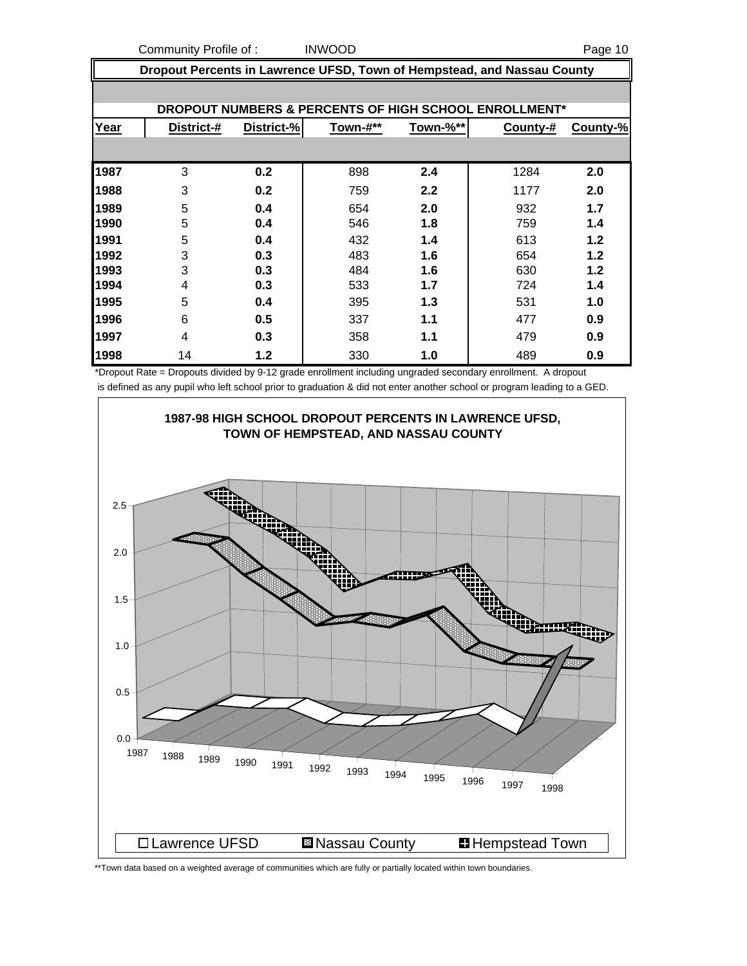Community Profile of : INWOOD **Page 10** 

 **Dropout Percents in Lawrence UFSD, Town of Hempstead, and Nassau County DROPOUT NUMBERS & PERCENTS OF HIGH SCHOOL ENROLLMENT\* Year District-# District-% Town-#\*\* Town-%\*\* County-# County-%** 3 **0.2** 898 **2.4** 1284 **2.0** 3 **0.2** 759 **2.2** 1177 **2.0** 5 **0.4** 654 **2.0** 932 **1.7** 5 **0.4** 546 **1.8** 759 **1.4** 5 **0.4** 432 **1.4** 613 **1.2** 3 **0.3** 483 **1.6** 654 **1.2** 3 **0.3** 484 **1.6** 630 **1.2** 4 **0.3** 533 **1.7** 724 **1.4** 5 **0.4** 395 **1.3** 531 **1.0** 6 **0.5** 337 **1.1** 477 **0.9** 4 **0.3** 358 **1.1** 479 **0.9** 14 **1.2** 330 **1.0** 489 **0.9**

\*Dropout Rate = Dropouts divided by 9-12 grade enrollment including ungraded secondary enrollment. A dropout is defined as any pupil who left school prior to graduation & did not enter another school or program leading to a GED.



\*\*Town data based on a weighted average of communities which are fully or partially located within town boundaries.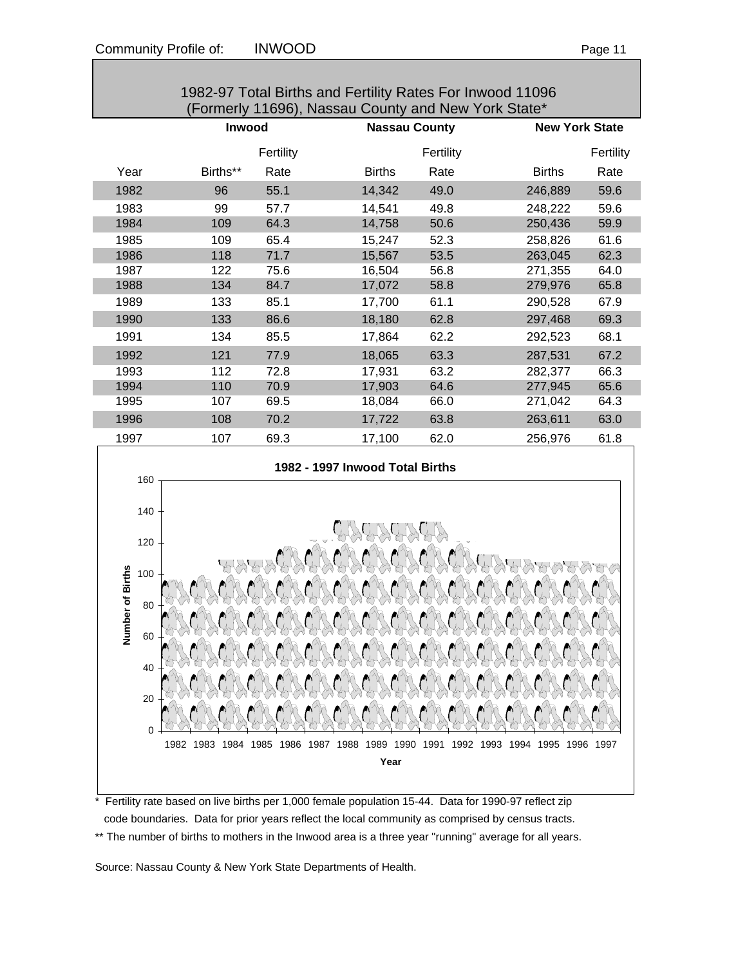| 1982-97 Total Births and Fertility Rates For Inwood 11096<br>(Formerly 11696), Nassau County and New York State* |                                |              |                                        |           |                       |           |  |  |
|------------------------------------------------------------------------------------------------------------------|--------------------------------|--------------|----------------------------------------|-----------|-----------------------|-----------|--|--|
|                                                                                                                  | Inwood<br><b>Nassau County</b> |              |                                        |           | <b>New York State</b> |           |  |  |
|                                                                                                                  |                                | Fertility    |                                        | Fertility |                       | Fertility |  |  |
| Year                                                                                                             | Births**                       | Rate         | <b>Births</b>                          | Rate      | <b>Births</b>         | Rate      |  |  |
| 1982                                                                                                             | 96                             | 55.1         | 14,342                                 | 49.0      | 246,889               | 59.6      |  |  |
| 1983                                                                                                             | 99                             | 57.7         | 14,541                                 | 49.8      | 248,222               | 59.6      |  |  |
| 1984                                                                                                             | 109                            | 64.3         | 14,758                                 | 50.6      | 250,436               | 59.9      |  |  |
| 1985                                                                                                             | 109                            | 65.4         | 15,247                                 | 52.3      | 258,826               | 61.6      |  |  |
| 1986                                                                                                             | 118                            | 71.7         | 15,567                                 | 53.5      | 263,045               | 62.3      |  |  |
| 1987                                                                                                             | 122                            | 75.6         | 16,504                                 | 56.8      | 271,355               | 64.0      |  |  |
| 1988                                                                                                             | 134                            | 84.7         | 17,072                                 | 58.8      | 279,976               | 65.8      |  |  |
| 1989                                                                                                             | 133                            | 85.1         | 17,700                                 | 61.1      | 290,528               | 67.9      |  |  |
| 1990                                                                                                             | 133                            | 86.6         | 18,180                                 | 62.8      | 297,468               | 69.3      |  |  |
| 1991                                                                                                             | 134                            | 85.5         | 17,864                                 | 62.2      | 292,523               | 68.1      |  |  |
| 1992                                                                                                             | 121                            | 77.9         | 18,065                                 | 63.3      | 287,531               | 67.2      |  |  |
| 1993                                                                                                             | 112                            | 72.8         | 17,931                                 | 63.2      | 282,377               | 66.3      |  |  |
| 1994                                                                                                             | 110                            | 70.9         | 17,903                                 | 64.6      | 277,945               | 65.6      |  |  |
| 1995                                                                                                             | 107                            | 69.5         | 18,084                                 | 66.0      | 271,042               | 64.3      |  |  |
| 1996                                                                                                             | 108                            | 70.2         | 17,722                                 | 63.8      | 263,611               | 63.0      |  |  |
| 1997                                                                                                             | 107                            | 69.3         | 17,100                                 | 62.0      | 256,976               | 61.8      |  |  |
| 160                                                                                                              |                                |              | 1982 - 1997 Inwood Total Births        |           |                       |           |  |  |
|                                                                                                                  |                                |              |                                        |           |                       |           |  |  |
| 140                                                                                                              |                                |              |                                        |           |                       |           |  |  |
| 120                                                                                                              |                                |              |                                        |           |                       |           |  |  |
| <b>Imber of Births</b><br>100                                                                                    |                                |              |                                        |           |                       |           |  |  |
|                                                                                                                  |                                |              |                                        |           |                       |           |  |  |
| 80                                                                                                               |                                |              |                                        |           |                       |           |  |  |
|                                                                                                                  |                                |              |                                        |           |                       |           |  |  |
| 60<br>ź                                                                                                          |                                |              |                                        |           |                       |           |  |  |
|                                                                                                                  |                                |              |                                        |           |                       |           |  |  |
| 40                                                                                                               |                                |              |                                        |           |                       |           |  |  |
| 20                                                                                                               |                                |              |                                        |           |                       |           |  |  |
| 0                                                                                                                |                                |              |                                        |           |                       |           |  |  |
|                                                                                                                  | 1982 1983<br>1984              | 1985<br>1986 | 1988<br>1989 1990 1991<br>1987<br>Year | 1992 1993 | 1994<br>1995<br>1996  | 1997      |  |  |
|                                                                                                                  |                                |              |                                        |           |                       |           |  |  |

\* Fertility rate based on live births per 1,000 female population 15-44. Data for 1990-97 reflect zip code boundaries. Data for prior years reflect the local community as comprised by census tracts. \*\* The number of births to mothers in the Inwood area is a three year "running" average for all years.

Source: Nassau County & New York State Departments of Health.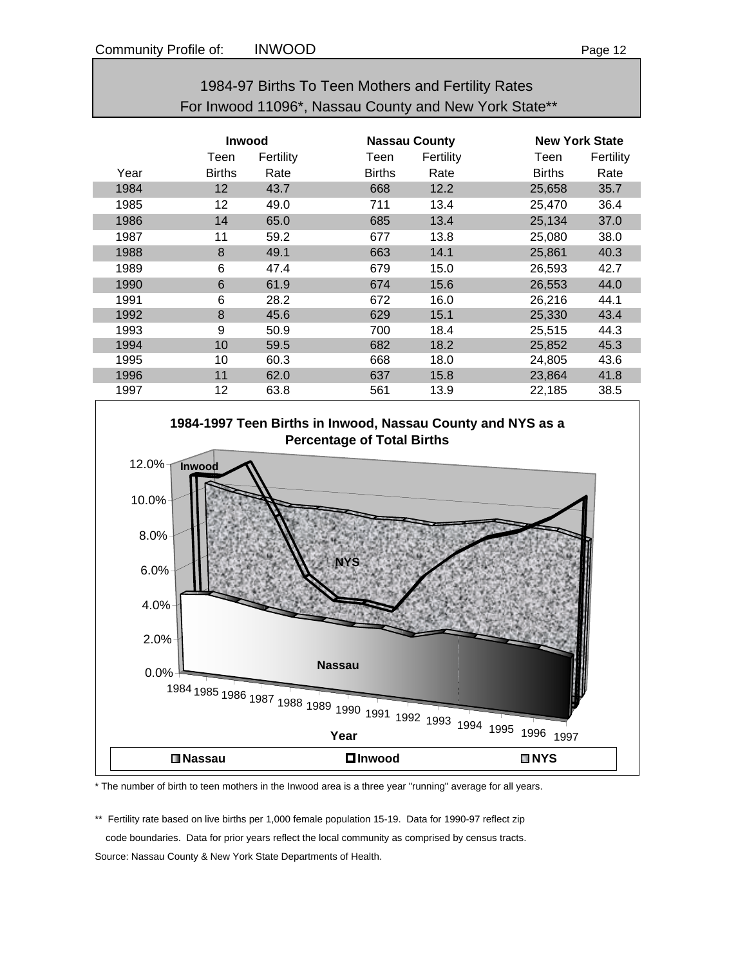| 1984-97 Births To Teen Mothers and Fertility Rates    |
|-------------------------------------------------------|
| For Inwood 11096*, Nassau County and New York State** |

|      | <b>Inwood</b> |           | <b>Nassau County</b> |           |               | <b>New York State</b> |  |  |
|------|---------------|-----------|----------------------|-----------|---------------|-----------------------|--|--|
|      | Teen          | Fertility | Teen                 | Fertility | Teen          | Fertility             |  |  |
| Year | <b>Births</b> | Rate      | <b>Births</b>        | Rate      | <b>Births</b> | Rate                  |  |  |
| 1984 | 12            | 43.7      | 668                  | 12.2      | 25,658        | 35.7                  |  |  |
| 1985 | 12            | 49.0      | 711                  | 13.4      | 25,470        | 36.4                  |  |  |
| 1986 | 14            | 65.0      | 685                  | 13.4      | 25,134        | 37.0                  |  |  |
| 1987 | 11            | 59.2      | 677                  | 13.8      | 25,080        | 38.0                  |  |  |
| 1988 | 8             | 49.1      | 663                  | 14.1      | 25,861        | 40.3                  |  |  |
| 1989 | 6             | 47.4      | 679                  | 15.0      | 26,593        | 42.7                  |  |  |
| 1990 | 6             | 61.9      | 674                  | 15.6      | 26,553        | 44.0                  |  |  |
| 1991 | 6             | 28.2      | 672                  | 16.0      | 26,216        | 44.1                  |  |  |
| 1992 | 8             | 45.6      | 629                  | 15.1      | 25,330        | 43.4                  |  |  |
| 1993 | 9             | 50.9      | 700                  | 18.4      | 25,515        | 44.3                  |  |  |
| 1994 | 10            | 59.5      | 682                  | 18.2      | 25,852        | 45.3                  |  |  |
| 1995 | 10            | 60.3      | 668                  | 18.0      | 24,805        | 43.6                  |  |  |
| 1996 | 11            | 62.0      | 637                  | 15.8      | 23,864        | 41.8                  |  |  |
| 1997 | 12            | 63.8      | 561                  | 13.9      | 22,185        | 38.5                  |  |  |



\* The number of birth to teen mothers in the Inwood area is a three year "running" average for all years.

\*\* Fertility rate based on live births per 1,000 female population 15-19. Data for 1990-97 reflect zip code boundaries. Data for prior years reflect the local community as comprised by census tracts. Source: Nassau County & New York State Departments of Health.